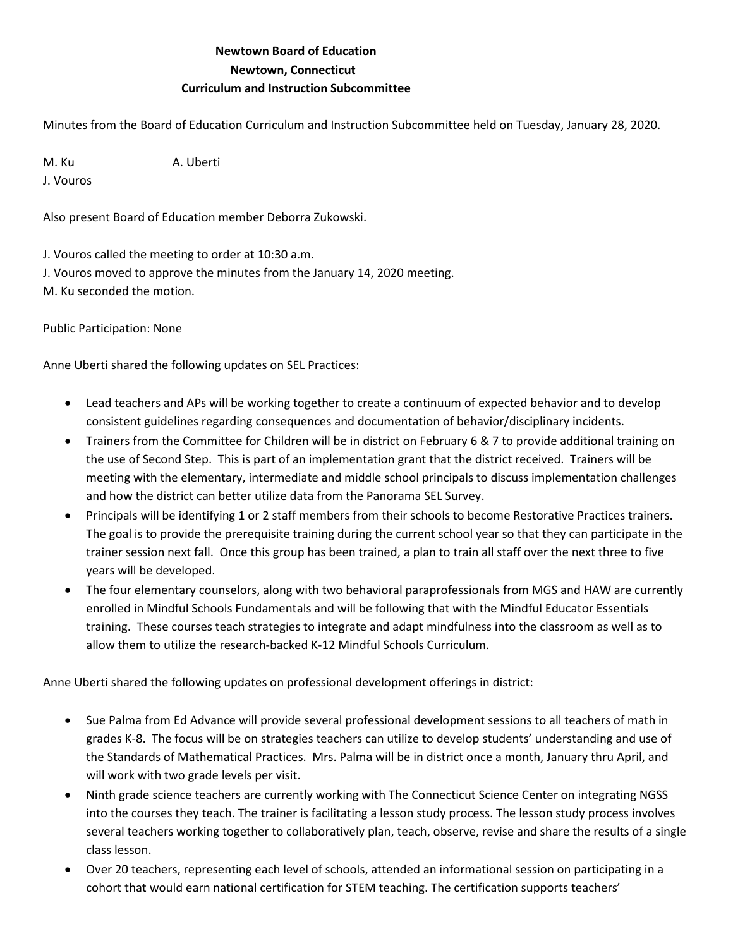## **Newtown Board of Education Newtown, Connecticut Curriculum and Instruction Subcommittee**

Minutes from the Board of Education Curriculum and Instruction Subcommittee held on Tuesday, January 28, 2020.

M. Ku A. Uberti

J. Vouros

Also present Board of Education member Deborra Zukowski.

J. Vouros called the meeting to order at 10:30 a.m.

J. Vouros moved to approve the minutes from the January 14, 2020 meeting.

M. Ku seconded the motion.

Public Participation: None

Anne Uberti shared the following updates on SEL Practices:

- Lead teachers and APs will be working together to create a continuum of expected behavior and to develop consistent guidelines regarding consequences and documentation of behavior/disciplinary incidents.
- Trainers from the Committee for Children will be in district on February 6 & 7 to provide additional training on the use of Second Step. This is part of an implementation grant that the district received. Trainers will be meeting with the elementary, intermediate and middle school principals to discuss implementation challenges and how the district can better utilize data from the Panorama SEL Survey.
- Principals will be identifying 1 or 2 staff members from their schools to become Restorative Practices trainers. The goal is to provide the prerequisite training during the current school year so that they can participate in the trainer session next fall. Once this group has been trained, a plan to train all staff over the next three to five years will be developed.
- The four elementary counselors, along with two behavioral paraprofessionals from MGS and HAW are currently enrolled in Mindful Schools Fundamentals and will be following that with the Mindful Educator Essentials training. These courses teach strategies to integrate and adapt mindfulness into the classroom as well as to allow them to utilize the research-backed K-12 Mindful Schools Curriculum.

Anne Uberti shared the following updates on professional development offerings in district:

- Sue Palma from Ed Advance will provide several professional development sessions to all teachers of math in grades K-8. The focus will be on strategies teachers can utilize to develop students' understanding and use of the Standards of Mathematical Practices. Mrs. Palma will be in district once a month, January thru April, and will work with two grade levels per visit.
- Ninth grade science teachers are currently working with The Connecticut Science Center on integrating NGSS into the courses they teach. The trainer is facilitating a lesson study process. The lesson study process involves several teachers working together to collaboratively plan, teach, observe, revise and share the results of a single class lesson.
- Over 20 teachers, representing each level of schools, attended an informational session on participating in a cohort that would earn national certification for STEM teaching. The certification supports teachers'